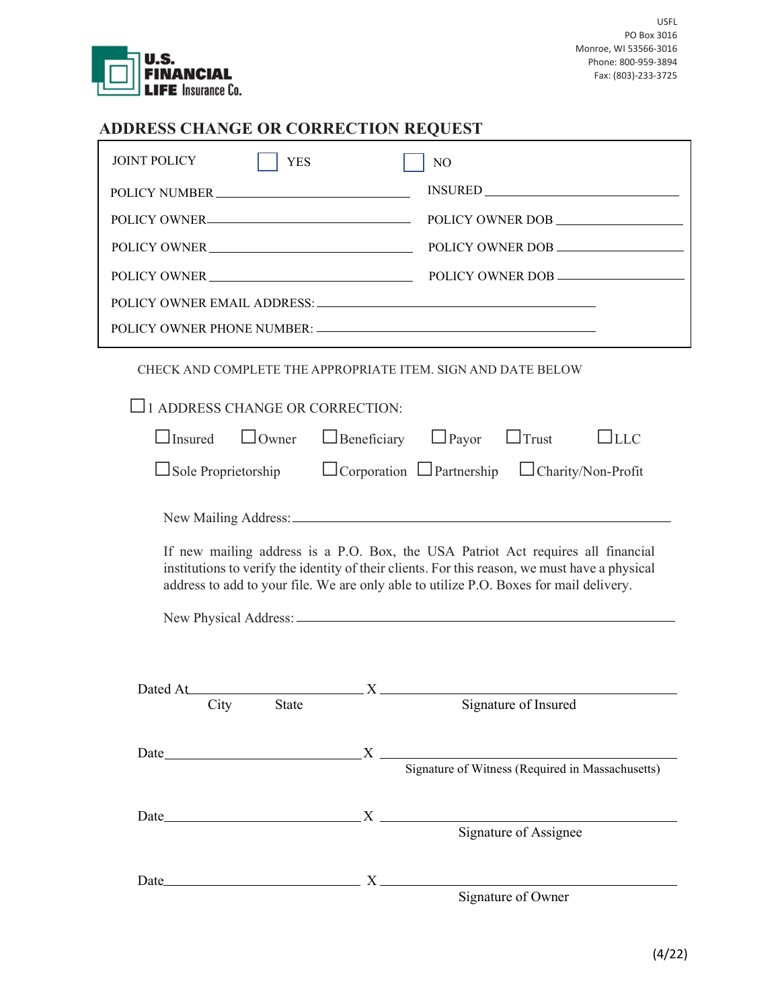

## ADDRESS CHANGE OR CORRECTION REQUEST

| <b>JOINT POLICY</b><br><b>YES</b>                                                                                                                                                                                              | N <sub>O</sub>                                                                                                                                                                                                                                                                                                           |
|--------------------------------------------------------------------------------------------------------------------------------------------------------------------------------------------------------------------------------|--------------------------------------------------------------------------------------------------------------------------------------------------------------------------------------------------------------------------------------------------------------------------------------------------------------------------|
| POLICY NUMBER                                                                                                                                                                                                                  | $INSURED \begin{tabular}{ c c c } \hline \multicolumn{3}{ c }{\textbf{INSURED}} \end{tabular}$                                                                                                                                                                                                                           |
| POLICY OWNER                                                                                                                                                                                                                   | POLICY OWNER DOB                                                                                                                                                                                                                                                                                                         |
| POLICY OWNER                                                                                                                                                                                                                   | POLICY OWNER DOB                                                                                                                                                                                                                                                                                                         |
| POLICY OWNER                                                                                                                                                                                                                   | POLICY OWNER DOB                                                                                                                                                                                                                                                                                                         |
|                                                                                                                                                                                                                                |                                                                                                                                                                                                                                                                                                                          |
|                                                                                                                                                                                                                                |                                                                                                                                                                                                                                                                                                                          |
| 1 ADDRESS CHANGE OR CORRECTION:                                                                                                                                                                                                | CHECK AND COMPLETE THE APPROPRIATE ITEM. SIGN AND DATE BELOW                                                                                                                                                                                                                                                             |
| $\Box$ Insured<br>$\Box$ Owner                                                                                                                                                                                                 | $\Box$ Payor<br>$\Box$ Trust<br>$\sqcup$ LLC<br>$\Box$ Beneficiary                                                                                                                                                                                                                                                       |
| $\Box$ Sole Proprietorship                                                                                                                                                                                                     | □ Corporation □ Partnership □ Charity/Non-Profit                                                                                                                                                                                                                                                                         |
|                                                                                                                                                                                                                                |                                                                                                                                                                                                                                                                                                                          |
|                                                                                                                                                                                                                                | If new mailing address is a P.O. Box, the USA Patriot Act requires all financial<br>institutions to verify the identity of their clients. For this reason, we must have a physical<br>address to add to your file. We are only able to utilize P.O. Boxes for mail delivery.                                             |
|                                                                                                                                                                                                                                |                                                                                                                                                                                                                                                                                                                          |
| Dated At<br>City<br><b>State</b>                                                                                                                                                                                               | $\mathbf{X}$ and $\mathbf{X}$ and $\mathbf{X}$ and $\mathbf{X}$ and $\mathbf{X}$ and $\mathbf{X}$ and $\mathbf{X}$ and $\mathbf{X}$ and $\mathbf{X}$ and $\mathbf{X}$ and $\mathbf{X}$ and $\mathbf{X}$ and $\mathbf{X}$ and $\mathbf{X}$ and $\mathbf{X}$ and $\mathbf{X}$ and $\mathbf{X}$ and<br>Signature of Insured |
| Date and the contract of the contract of the contract of the contract of the contract of the contract of the contract of the contract of the contract of the contract of the contract of the contract of the contract of the c | $X \longrightarrow$                                                                                                                                                                                                                                                                                                      |
|                                                                                                                                                                                                                                | Signature of Witness (Required in Massachusetts)                                                                                                                                                                                                                                                                         |
|                                                                                                                                                                                                                                |                                                                                                                                                                                                                                                                                                                          |
|                                                                                                                                                                                                                                | Signature of Assignee                                                                                                                                                                                                                                                                                                    |
| Date $X$                                                                                                                                                                                                                       |                                                                                                                                                                                                                                                                                                                          |
|                                                                                                                                                                                                                                | Signature of Owner                                                                                                                                                                                                                                                                                                       |